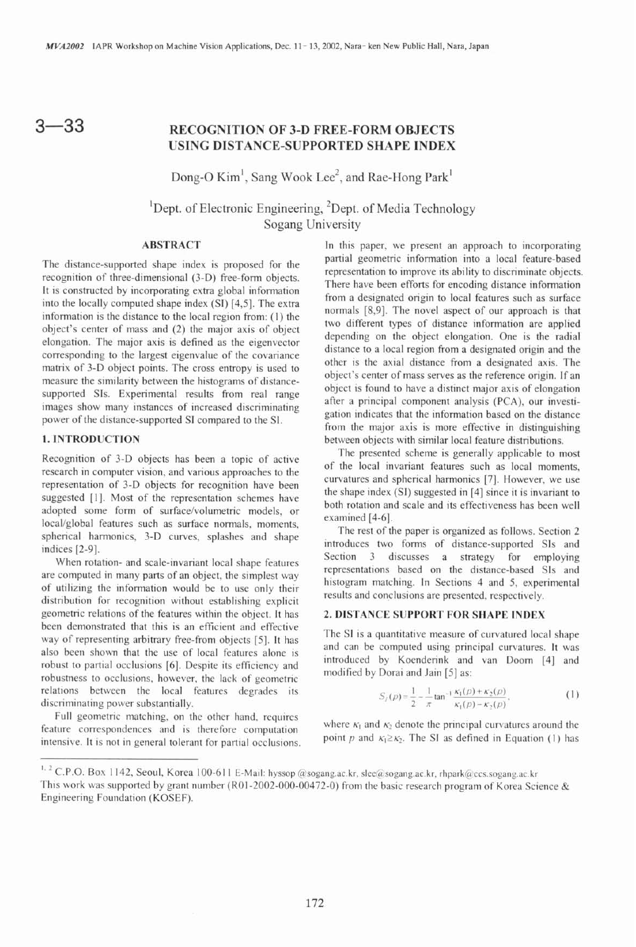$3 - 33$ 

# **RECOGNITION OF 3-D FREE-FORM OBJECTS USING DISTANCE-SUPPORTED SHAPE INDEX**

Dong-O  $Kim<sup>1</sup>$ , Sang Wook Lee<sup>2</sup>, and Rae-Hong Park<sup>1</sup>

<sup>1</sup>Dept. of Electronic Engineering,  ${}^{2}$ Dept. of Media Technology Sogang University

Recognition of 3-D objects has been a topic of active<br>
research in computer vision, and various approaches to the<br>
epresentation of 3-D objects for recognition have been<br>
survatures and spherical harmonics [7]. However, we

of utilizing the information would be to use only their<br>distribution for recognition without establishing explicit<br>distribution for recognition without establishing explicit geometric relations of the features within the object. It has **2. DISTANCE SUPPORT FOR SHAPE INDEX** been demonstrated that this is an efficient and effective way of representing arbitrary free-from objects [5]. It has<br>also been shown that the use of local features alone is<br>robust to partial occlusions [6]. Despite its efficiency and<br>the modified by Noenderink and van Doorn [4] robustness to occlusions, however, the lack of geometric relations between the local features degrades its discriminating power substantially.

Full geometric matching, on the other hand, requires where  $K_1$  and  $K_2$  denote the principal curvatures around the feature correspondences and is therefore computation intensive It is not in general televant for positi intensive. It is not in general tolerant for partial occlusions.

**ABSTRACT** In this paper, we present an approach to incorporating The distance-supported shape index is proposed for the<br>
recognition of three-dimensional (3-D) free-form objects.<br>
It is constructed by incorporating extra global information<br>
the locally computed shape index (SI) [4,5]. T bbject's center of mass and (2) the major axis of object<br>
elongation. The major axis is defined as the eigenvector<br>
corresponding to the largest eigenvalue of the covariance<br>
matrix of 3-D object points. The cross entropy power of the distance-supported SI compared to the SI. The major axis is more effective in distinguishing **1. INTRODUCTION** between objects with similar local feature distributions.

spherical harmonics, 3-D curves, splashes and shape<br>introduces two forms of distance-supported SIs and<br>literature introduces two forms of distance-supported SIs and<br>Section 3 discusses a strategy for employing When rotation- and scale-invariant local shape features are computed in many parts of an object, the simplest way

$$
S_{j}(p) = \frac{1}{2} - \frac{1}{\pi} \tan^{-1} \frac{\kappa_{1}(p) + \kappa_{2}(p)}{\kappa_{1}(p) - \kappa_{2}(p)}.
$$
 (1)

<sup>&</sup>lt;sup>1. 2</sup> C.P.O. Box 1142, Seoul, Korea 100-611 E-Mail: hyssop @sogang.ac.kr, slee@sogang.ac.kr, rhpark@ccs.sogang.ac.kr This work was supported by grant number (R01-2002-000-00472-0) from the basic research program of Korea Science & Engineering Foundation (KOSEF).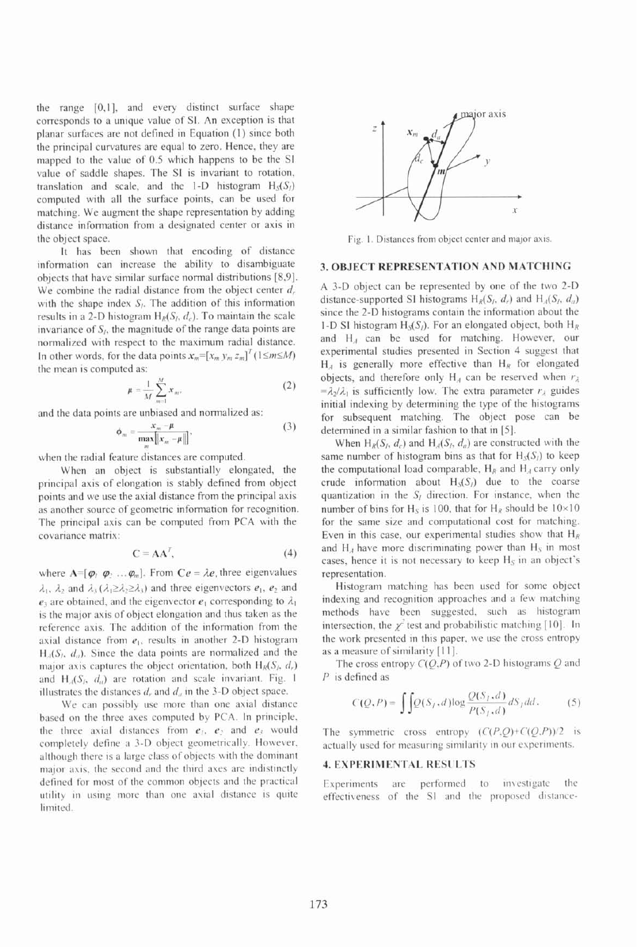the range [0,1], and every distinct surface shape corresponds to a unique value of SI. An exception is that planar surfaces are not defined in Equation (1) since both the principal curvatures are equal to zero. Hence, they are mapped to the value of 0.5 which happens to be the SI value of saddle shapes. The SI is invariant to rotation, translation and scale, and the 1-D histogram  $H_S(S)$ computed with all the surface points, can be used for matching. We augment the shape representation by adding distance information fiom a designated center or axis in the object space.

It has been shown that encoding of distance information can increase the ability to disambiguate objects that have similar surface normal distributions [8,9]. We combine the radial distance from the object center  $d_i$ , with the shape index  $S<sub>i</sub>$ . The addition of this information results in a 2-D histogram  $H<sub>p</sub>(S<sub>i</sub>, d<sub>i</sub>)$ . To maintain the scale invariance of  $S<sub>i</sub>$ , the magnitude of the range data points are normalized with respect to the maximum radial distance. In other words, for the data points  $x_m = [x_m y_m z_m]^T (1 \le m \le M)$ the mean is computed as:

$$
\mu = \frac{1}{M} \sum_{m=1}^{M} x_m, \qquad (2)
$$

and the data points are unbiased and normalized as:

$$
\phi_m = \frac{x_m - \mu}{\max_{m} \left\| x_m - \mu \right\|},\tag{3}
$$

when the radial feature distances are computed.

When an object is substantially elongated, the principal axis of elongation is stably defined from object points and we use the axial distance from the principal axis as another source of geometric information for recognition. The principal axis can be computed from PCA with the covariance matrix:

$$
\mathbf{C} = \mathbf{A}\mathbf{A}^T, \tag{4}
$$

where  $A=[\varphi_1 \varphi_2 \ldots \varphi_m]$ . From  $Ce = \lambda e$ , three eigenvalues  $\lambda_1$ ,  $\lambda_2$  and  $\lambda_3$  ( $\lambda_1 \geq \lambda_2 \geq \lambda_3$ ) and three eigenvectors  $e_1$ ,  $e_2$  and  $e_3$  are obtained, and the eigenvector  $e_1$  corresponding to  $\lambda_1$ is the major axis of object elongation and thus taken as the reference axis. The addition of the information from the axial distance from  $e_1$ , results in another 2-D histogram  $H_A(S_i, d_a)$ . Since the data points are normalized and the major axis captures the object orientation, both  $H_R(S_i, d_i)$ and  $H<sub>A</sub>(S<sub>i</sub>, d<sub>a</sub>)$  are rotation and scale invariant. Fig. 1 illustrates the distances  $d$ , and  $d_a$  in the 3-D object space.

We can possibly use more than one axial distance based on the three axes computed by PCA. In principle, the three axial distances from  $e_1$ ,  $e_2$  and  $e_3$  would completely define a 3-D object geometrically. However, although there is a large class of objects with the dominant major asis. the second and the third ases are indistinctly defined for most of the common objects and the practical utility in using more than one axial distance is quite limited.



Fig. 1. Distances from object center and major axis.

### **3. OBJECT REPRESENTATION AND MATCHING**

A 3-D object can be represented by one of the two 2-D distance-supported SI histograms  $H_R(S_i, d_i)$  and  $H_A(S_i, d_a)$ since the 2-D histograms contain the information about the I-D SI histogram  $H_S(S_i)$ . For an elongated object, both  $H_R$ and H,, can be used for matching. However, our experimental studies presented in Section 4 suggest that  $H_A$  is generally more effective than  $H_R$  for elongated objects, and therefore only  $H_A$  can be reserved when  $r_A$  $=\lambda_2/\lambda_1$  is sufficiently low. The extra parameter  $r_\lambda$  guides initial indexing by determining the type of the histograms for subsequent matching. The object pose can be determined in a similar fashion to that in **[5].** 

When  $H_R(S_i, d_c)$  and  $H_A(S_i, d_a)$  are constructed with the same number of histogram bins as that for  $H<sub>S</sub>(S<sub>l</sub>)$  to keep the computational load comparable,  $H_R$  and  $H_A$  carry only crude information about  $H_S(S)$  due to the coarse quantization in the  $S<sub>I</sub>$  direction. For instance, when the number of bins for H<sub>s</sub> is 100, that for H<sub>R</sub> should be  $10\times10$ for the same size and computational cost for matching. Even in this case, our experimental studies show that  $H_R$ and  $H_A$  have more discriminating power than  $H_S$  in most cases, hence it is not necessary to keep  $H_S$  in an object's representation.

Histogram matching has been used for some object indexing and recognition approaches and a few matching methods have been suggested, such as histogram intersection, the  $\chi^2$  test and probabilistic matching [10]. In the work presented in this paper. we use the cross entropy as a measure of similarity [I I].

The cross entropy  $C(Q, P)$  of two 2-D histograms  $Q$  and P is defined as

$$
C(Q, P) = \int \int Q(S_I, d) \log \frac{Q(S_I, d)}{P(S_I, d)} dS_I dd. \tag{5}
$$

The symmetric cross entropy  $(C(P,Q)+C(Q,P))/2$  is actually used for measuring similarity in our experiments.

## **4. EXPERIMENTAL RESULTS**

Experiments are performed to investigate the effectiveness of the SI and the proposed distance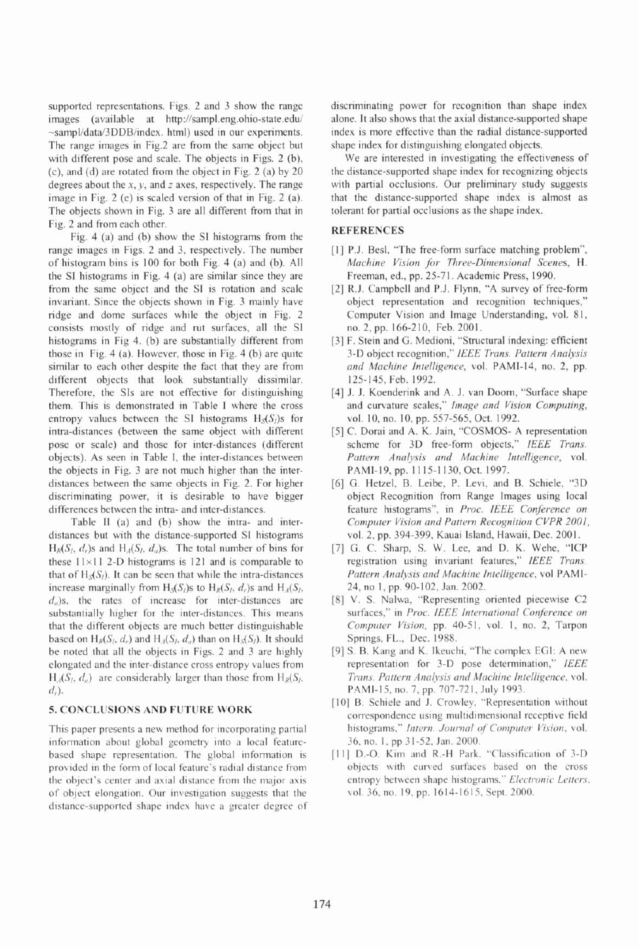supported representations. Figs. 2 and 3 show the range images (available at http://sampl.eng.ohio-state.edu/ -sampl/data/3DDB/index. html) used in our experiments. The range images in Fig.2 are from the same object but with different pose and scale. The objects in Figs. 2 (b), (c), and (d) are rotated from the object in Fig. 2 (a) by 20 degrees about the x, y, and *z* axes, respectively. The range image in Fig. 2 (e) is scaled version of that in Fig. 2 (a). The objects shown in Fig. 3 are all different from that in Fig. 2 and from each other.

Fig. 4 (a) and (b) show the SI histograms from the range images in Figs. 2 and 3, respectively. The number of histogram bins is I00 for both Fig. 4 (a) and (b). All the SI histograms in Fig. 4 (a) are similar since they are from the same object and the SI is rotation and scale invariant. Since the objects shown in Fig. 3 mainly have ridge and dome surfaces while the object in Fig. 2 consists mostly of ridge and rut surfaces, all the SI histograms in Fig 4. (b) are substantially different from those in Fig. 4 (a). However, those in Fig. 4 (b) are quite similar to each other despite the fact that they are from different objects that look substantially dissimilar. Therefore, the SIs are not effective for distinguishing them. This is demonstrated in Table I where the cross entropy values between the SI histograms  $H_S(S_l)$ s for intra-distances (between the same object with different pose or scale) and those for inter-distances (different objects). As seen in Table I, the inter-distances between the objects in Fig. 3 are not much higher than the interdistances between the same objects in Fig. 2. For higher discriminating power, it is desirable to have bigger differences between the intra- and inter-distances.

Table 11 (a) and (b) show the intra- and interdistances but with the distance-supported SI histograms  $H_R(S_l, d_r)$ s and  $H_A(S_l, d_a)$ s. The total number of bins for these  $11 \times 11$  2-D histograms is 121 and is comparable to that of  $H_S(S)$ . It can be seen that while the intra-distances increase marginally from  $H_S(S_i)$ s to  $H_R(S_i, d_i)$ s and  $H_A(S_i, d_i)$  $d_n$ )s, the rates of increase for inter-distances are substantially higher for the inter-distances. This means that the different objects are much better distinguishable based on  $H_R(S_i, d_i)$  and  $H_A(S_i, d_i)$  than on  $H_S(S_i)$ . It should be noted that all the objects in Figs. 2 and 3 are highly elongated and the inter-distance cross entropy values from  $H<sub>A</sub>(S<sub>i</sub>, d<sub>a</sub>)$  are considerably larger than those from  $H<sub>R</sub>(S<sub>i</sub>,$  $d_r$ ).

### **5. CONCLliSlONS AND FUTURE WORK**

This paper presents a new method for incorporating partial information about global geometry into a local featurebased shape representation. The global information is provided in the form of local feature's radial distance from the object's center and axial distance from the major axis of obiect elongation. Our investigation suggests that the distance-supported shape index have a greater degree of discriminating power for recognition than shape index alone. It also shows that the axial distance-supported shape index is more effective than the radial distance-supported shape index for distinguishing elongated objects.

We are interested in investigating the effectiveness of the distance-supported shape index for recognizing objects with partial occlusions. Our preliminary study suggests that the distance-supported shape index is almost as tolerant for partial occlusions as the shape index.

### **REFERENCES**

- [1] P.J. Besl, "The free-form surface matching problem", *Machine Vision for Three-Dimensional Scenes,* H. Freeman, ed., pp. 25-71. Academic Press, 1990.
- [2] R.J. Campbell and P.J. Flynn, "A survey of free-form object representation and recognition techniques," Computer Vision and lmage Understanding, vol. 81, no. 2, pp. 166-2 10, Feb. 2001.
- [3] F. Stein and G. Medioni, "Structural indexing: efficient 3-D object recognition," *IEEE Trans. Pattern Analysis and Machine Intelligence,* vol. PAMI-14, no. 2, pp. 125-145, Feb. 1992.
- [4] J. J. Koenderink and A. J. van Doom, "Surface shape and curvature scales," *Image and Vision Computing,*  vol. 10, no. 10, pp. 557-565, Oct. 1992.
- [5] C. Dorai and A. K. Jain, "COSMOS- A representation scheme for 3D free-form objects," *IEEE Trans. Pattern Analysis and Machine Intelligence,* vol. PAMI-19, pp. 1 115-1 130, Oct. 1997.
- [6] G. Hetzel, B. Leibe, P. Levi, and B. Schiele, "3D object Recognition from Range Images using local feature histograms", in *Proc. IEEE Conference on Compliter Vision and Pattern Recognition CVPR 2001,*  vol. 2, pp. 394-399, Kauai Island, Hawaii, Dec. 2001.
- [7] G. C. Sharp, S. W. Lee, and D. K. Wehe, "ICP registration using invariant features," *IEEE Trans. Pattern Analjsis nnd Machine Intelligence,* vol PAMI-24, no I, pp. 90-102, Jan. 2002.
- [8] V. S. Nalwa, "Representing oriented piecewise C2 surfaces," in *Proc. IEEE International Conference on* Computer<sup>Vision</sup>, pp. 40-51, vol. 1, no. 2, Tarpon Springs, FL., Dec. 1988.
- [9] S. B. Kang and K. Ikeuchi. "The complex EGI: A new representation for 3-D pose determination," *IEEE Trans. Pattern Analysis and Machine Intelligence, vol.* PAMI-15, no. 7, pp. 707-721, July 1993.
- [10] B. Schiele and J. Crowley, "Representation without correspondence using multidimensional receptive field histograms," *Intern. Journal of Computer Vision*, vol. 36. no. I. pp 3 1-52. Jan. 2000.
- [11] D.-O. Kim and R.-H Park. "Classification of 3-D objects with curved surfaces based on the cross entropy between shape histograms." *Electronic Letters*, vol. 36, no. 19, pp. 1614-1615, Sept. 2000.